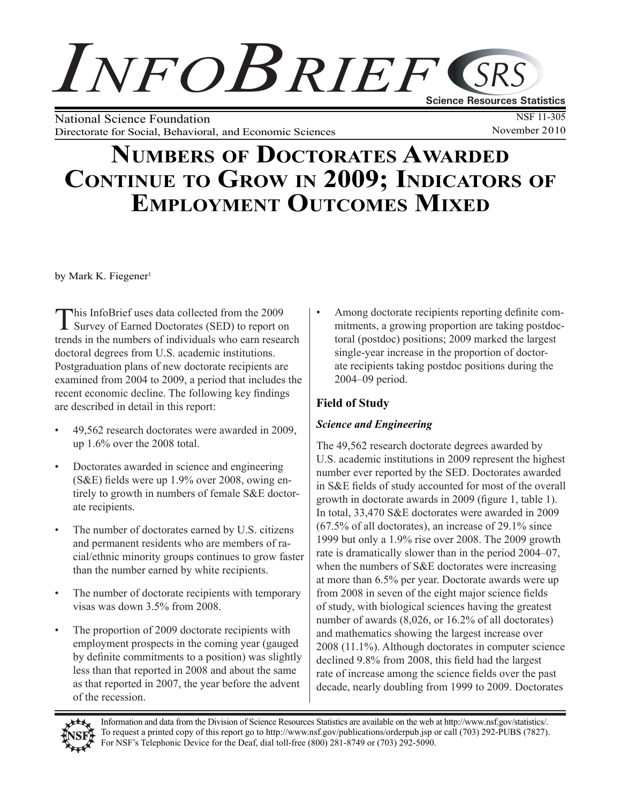# *InfoBrief SRS* **Science Resources Statistics**

National Science Foundation<br>Directorate for Social Behavioral, and Economic Sciences<br>November 2010 Directorate for Social, Behavioral, and Economic Sciences

# **Numbers of Doctorates Awarded Continue to Grow in 2009; Indicators of Employment Outcomes Mixed**

by Mark K. Fiegener<sup>1</sup>

This InfoBrief uses data collected from the 2009 Survey of Earned Doctorates (SED) to report on trends in the numbers of individuals who earn research doctoral degrees from U.S. academic institutions. Postgraduation plans of new doctorate recipients are examined from 2004 to 2009, a period that includes the recent economic decline. The following key findings are described in detail in this report:

- 49,562 research doctorates were awarded in 2009, up 1.6% over the 2008 total.
- Doctorates awarded in science and engineering (S&E) fields were up 1.9% over 2008, owing entirely to growth in numbers of female S&E doctorate recipients.
- The number of doctorates earned by U.S. citizens and permanent residents who are members of racial/ethnic minority groups continues to grow faster than the number earned by white recipients.
- The number of doctorate recipients with temporary visas was down 3.5% from 2008.
- The proportion of 2009 doctorate recipients with employment prospects in the coming year (gauged by definite commitments to a position) was slightly less than that reported in 2008 and about the same as that reported in 2007, the year before the advent of the recession.

• Among doctorate recipients reporting definite commitments, a growing proportion are taking postdoctoral (postdoc) positions; 2009 marked the largest single-year increase in the proportion of doctorate recipients taking postdoc positions during the 2004–09 period.

# **Field of Study**

## *Science and Engineering*

The 49,562 research doctorate degrees awarded by U.S. academic institutions in 2009 represent the highest number ever reported by the SED. Doctorates awarded in S&E fields of study accounted for most of the overall growth in doctorate awards in 2009 (figure 1, table 1). In total, 33,470 S&E doctorates were awarded in 2009 (67.5% of all doctorates), an increase of 29.1% since 1999 but only a 1.9% rise over 2008. The 2009 growth rate is dramatically slower than in the period 2004–07, when the numbers of S&E doctorates were increasing at more than 6.5% per year. Doctorate awards were up from 2008 in seven of the eight major science fields of study, with biological sciences having the greatest number of awards (8,026, or 16.2% of all doctorates) and mathematics showing the largest increase over 2008 (11.1%). Although doctorates in computer science declined 9.8% from 2008, this field had the largest rate of increase among the science fields over the past decade, nearly doubling from 1999 to 2009. Doctorates



Information and data from the Division of Science Resources Statistics are available on the web at http://www.nsf.gov/statistics/. To request a printed copy of this report go to http://www.nsf.gov/publications/orderpub.jsp or call (703) 292-PUBS (7827). For NSF's Telephonic Device for the Deaf, dial toll-free (800) 281-8749 or (703) 292-5090.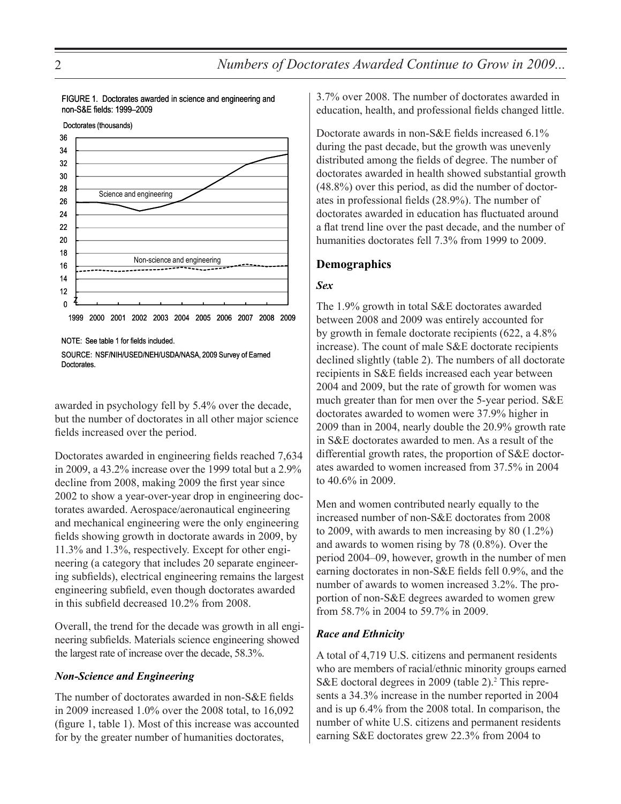FIGURE 1. Doctorates awarded in science and engineering and non-S&E fields: 1999–2009



NOTE: See table 1 for fields included.

SOURCE: NSF/NIH/USED/NEH/USDA/NASA, 2009 Survey of Earned Doctorates.

awarded in psychology fell by 5.4% over the decade, but the number of doctorates in all other major science fields increased over the period.

Doctorates awarded in engineering fields reached 7,634 in 2009, a 43.2% increase over the 1999 total but a 2.9% decline from 2008, making 2009 the first year since 2002 to show a year-over-year drop in engineering doctorates awarded. Aerospace/aeronautical engineering and mechanical engineering were the only engineering fields showing growth in doctorate awards in 2009, by 11.3% and 1.3%, respectively. Except for other engineering (a category that includes 20 separate engineering subfields), electrical engineering remains the largest engineering subfield, even though doctorates awarded in this subfield decreased 10.2% from 2008.

Overall, the trend for the decade was growth in all engineering subfields. Materials science engineering showed the largest rate of increase over the decade, 58.3%.

#### *Non-Science and Engineering*

The number of doctorates awarded in non-S&E fields in 2009 increased 1.0% over the 2008 total, to 16,092 (figure 1, table 1). Most of this increase was accounted for by the greater number of humanities doctorates,

3.7% over 2008. The number of doctorates awarded in education, health, and professional fields changed little.

Doctorate awards in non-S&E fields increased 6.1% during the past decade, but the growth was unevenly distributed among the fields of degree. The number of doctorates awarded in health showed substantial growth (48.8%) over this period, as did the number of doctorates in professional fields (28.9%). The number of doctorates awarded in education has fluctuated around a flat trend line over the past decade, and the number of humanities doctorates fell 7.3% from 1999 to 2009.

#### **Demographics**

#### *Sex*

The 1.9% growth in total S&E doctorates awarded between 2008 and 2009 was entirely accounted for by growth in female doctorate recipients (622, a 4.8% increase). The count of male S&E doctorate recipients declined slightly (table 2). The numbers of all doctorate recipients in S&E fields increased each year between 2004 and 2009, but the rate of growth for women was much greater than for men over the 5-year period. S&E doctorates awarded to women were 37.9% higher in 2009 than in 2004, nearly double the 20.9% growth rate in S&E doctorates awarded to men. As a result of the differential growth rates, the proportion of S&E doctorates awarded to women increased from 37.5% in 2004 to 40.6% in 2009.

Men and women contributed nearly equally to the increased number of non-S&E doctorates from 2008 to 2009, with awards to men increasing by 80 (1.2%) and awards to women rising by 78 (0.8%). Over the period 2004–09, however, growth in the number of men earning doctorates in non-S&E fields fell 0.9%, and the number of awards to women increased 3.2%. The proportion of non-S&E degrees awarded to women grew from 58.7% in 2004 to 59.7% in 2009.

#### *Race and Ethnicity*

A total of 4,719 U.S. citizens and permanent residents who are members of racial/ethnic minority groups earned S&E doctoral degrees in 2009 (table 2).<sup>2</sup> This represents a 34.3% increase in the number reported in 2004 and is up 6.4% from the 2008 total. In comparison, the number of white U.S. citizens and permanent residents earning S&E doctorates grew 22.3% from 2004 to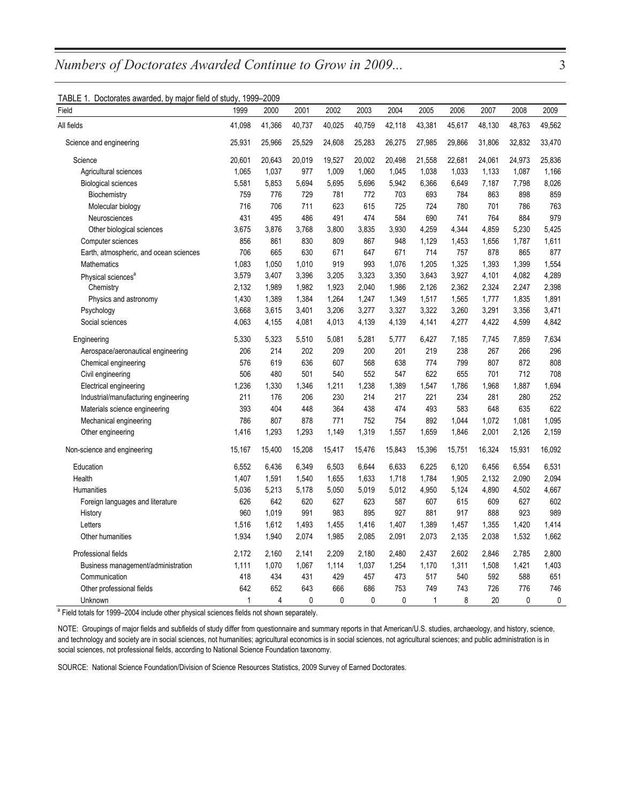| Numbers of Doctorates Awarded Continue to Grow in 2009 |  |  |  |
|--------------------------------------------------------|--|--|--|
|--------------------------------------------------------|--|--|--|

| TABLE 1. Doctorates awarded, by major field of study, 1999-2009 |              |        |        |              |        |              |        |        |        |        |        |
|-----------------------------------------------------------------|--------------|--------|--------|--------------|--------|--------------|--------|--------|--------|--------|--------|
| Field                                                           | 1999         | 2000   | 2001   | 2002         | 2003   | 2004         | 2005   | 2006   | 2007   | 2008   | 2009   |
| All fields                                                      | 41,098       | 41,366 | 40,737 | 40,025       | 40,759 | 42,118       | 43,381 | 45,617 | 48,130 | 48,763 | 49,562 |
| Science and engineering                                         | 25,931       | 25,966 | 25,529 | 24,608       | 25,283 | 26,275       | 27,985 | 29,866 | 31,806 | 32,832 | 33,470 |
| Science                                                         | 20,601       | 20,643 | 20,019 | 19,527       | 20,002 | 20,498       | 21,558 | 22,681 | 24,061 | 24,973 | 25,836 |
| Agricultural sciences                                           | 1,065        | 1,037  | 977    | 1,009        | 1,060  | 1,045        | 1,038  | 1,033  | 1,133  | 1,087  | 1,166  |
| <b>Biological sciences</b>                                      | 5,581        | 5,853  | 5,694  | 5,695        | 5,696  | 5,942        | 6,366  | 6,649  | 7,187  | 7,798  | 8,026  |
| Biochemistry                                                    | 759          | 776    | 729    | 781          | 772    | 703          | 693    | 784    | 863    | 898    | 859    |
| Molecular biology                                               | 716          | 706    | 711    | 623          | 615    | 725          | 724    | 780    | 701    | 786    | 763    |
| Neurosciences                                                   | 431          | 495    | 486    | 491          | 474    | 584          | 690    | 741    | 764    | 884    | 979    |
| Other biological sciences                                       | 3,675        | 3,876  | 3,768  | 3,800        | 3,835  | 3,930        | 4,259  | 4,344  | 4,859  | 5,230  | 5,425  |
| Computer sciences                                               | 856          | 861    | 830    | 809          | 867    | 948          | 1,129  | 1,453  | 1,656  | 1,787  | 1,611  |
| Earth, atmospheric, and ocean sciences                          | 706          | 665    | 630    | 671          | 647    | 671          | 714    | 757    | 878    | 865    | 877    |
| Mathematics                                                     | 1,083        | 1,050  | 1,010  | 919          | 993    | 1,076        | 1,205  | 1,325  | 1,393  | 1,399  | 1,554  |
| Physical sciences <sup>a</sup>                                  | 3,579        | 3,407  | 3,396  | 3,205        | 3,323  | 3,350        | 3,643  | 3,927  | 4,101  | 4,082  | 4,289  |
| Chemistry                                                       | 2,132        | 1,989  | 1,982  | 1,923        | 2,040  | 1,986        | 2,126  | 2,362  | 2,324  | 2,247  | 2,398  |
| Physics and astronomy                                           | 1,430        | 1,389  | 1,384  | 1,264        | 1,247  | 1,349        | 1,517  | 1,565  | 1,777  | 1,835  | 1,891  |
| Psychology                                                      | 3,668        | 3,615  | 3,401  | 3,206        | 3,277  | 3,327        | 3,322  | 3,260  | 3,291  | 3,356  | 3,471  |
| Social sciences                                                 | 4,063        | 4,155  | 4,081  | 4,013        | 4,139  | 4,139        | 4,141  | 4,277  | 4,422  | 4,599  | 4,842  |
| Engineering                                                     | 5,330        | 5,323  | 5,510  | 5,081        | 5,281  | 5,777        | 6,427  | 7,185  | 7,745  | 7,859  | 7,634  |
| Aerospace/aeronautical engineering                              | 206          | 214    | 202    | 209          | 200    | 201          | 219    | 238    | 267    | 266    | 296    |
| Chemical engineering                                            | 576          | 619    | 636    | 607          | 568    | 638          | 774    | 799    | 807    | 872    | 808    |
| Civil engineering                                               | 506          | 480    | 501    | 540          | 552    | 547          | 622    | 655    | 701    | 712    | 708    |
| Electrical engineering                                          | 1,236        | 1,330  | 1,346  | 1,211        | 1,238  | 1,389        | 1,547  | 1,786  | 1,968  | 1,887  | 1,694  |
| Industrial/manufacturing engineering                            | 211          | 176    | 206    | 230          | 214    | 217          | 221    | 234    | 281    | 280    | 252    |
| Materials science engineering                                   | 393          | 404    | 448    | 364          | 438    | 474          | 493    | 583    | 648    | 635    | 622    |
| Mechanical engineering                                          | 786          | 807    | 878    | 771          | 752    | 754          | 892    | 1,044  | 1,072  | 1,081  | 1,095  |
| Other engineering                                               | 1,416        | 1,293  | 1,293  | 1,149        | 1,319  | 1,557        | 1,659  | 1,846  | 2,001  | 2,126  | 2,159  |
| Non-science and engineering                                     | 15,167       | 15,400 | 15,208 | 15,417       | 15,476 | 15,843       | 15,396 | 15,751 | 16,324 | 15,931 | 16,092 |
| Education                                                       | 6,552        | 6,436  | 6,349  | 6,503        | 6,644  | 6,633        | 6,225  | 6,120  | 6,456  | 6,554  | 6,531  |
| Health                                                          | 1,407        | 1,591  | 1,540  | 1,655        | 1,633  | 1,718        | 1,784  | 1,905  | 2,132  | 2,090  | 2,094  |
| <b>Humanities</b>                                               | 5,036        | 5,213  | 5,178  | 5,050        | 5,019  | 5,012        | 4,950  | 5,124  | 4,890  | 4,502  | 4,667  |
| Foreign languages and literature                                | 626          | 642    | 620    | 627          | 623    | 587          | 607    | 615    | 609    | 627    | 602    |
| History                                                         | 960          | 1,019  | 991    | 983          | 895    | 927          | 881    | 917    | 888    | 923    | 989    |
| Letters                                                         | 1,516        | 1,612  | 1,493  | 1,455        | 1,416  | 1,407        | 1,389  | 1,457  | 1,355  | 1,420  | 1,414  |
| Other humanities                                                | 1,934        | 1,940  | 2,074  | 1,985        | 2,085  | 2,091        | 2,073  | 2,135  | 2,038  | 1,532  | 1,662  |
| Professional fields                                             | 2,172        | 2,160  | 2,141  | 2,209        | 2,180  | 2,480        | 2,437  | 2,602  | 2,846  | 2,785  | 2,800  |
| Business management/administration                              | 1,111        | 1,070  | 1,067  | 1,114        | 1,037  | 1,254        | 1,170  | 1,311  | 1,508  | 1,421  | 1,403  |
| Communication                                                   | 418          | 434    | 431    | 429          | 457    | 473          | 517    | 540    | 592    | 588    | 651    |
| Other professional fields                                       | 642          | 652    | 643    | 666          | 686    | 753          | 749    | 743    | 726    | 776    | 746    |
| Unknown                                                         | $\mathbf{1}$ | 4      | 0      | $\mathbf{0}$ | 0      | $\mathbf{0}$ | 1      | 8      | 20     | 0      | 0      |

<sup>a</sup> Field totals for 1999–2004 include other physical sciences fields not shown separately.

NOTE: Groupings of major fields and subfields of study differ from questionnaire and summary reports in that American/U.S. studies, archaeology, and history, science, and technology and society are in social sciences, not humanities; agricultural economics is in social sciences, not agricultural sciences; and public administration is in social sciences, not professional fields, according to National Science Foundation taxonomy.

SOURCE: National Science Foundation/Division of Science Resources Statistics, 2009 Survey of Earned Doctorates.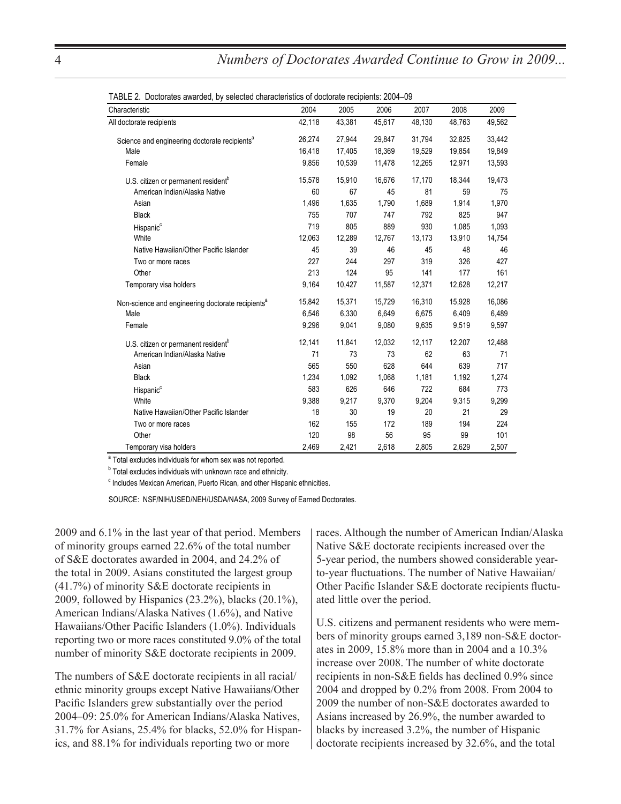| TABLE 2. Doctorates awarded, by selected characteristics of doctorate recipients: 2004–09 |        |        |        |        |        |        |
|-------------------------------------------------------------------------------------------|--------|--------|--------|--------|--------|--------|
| Characteristic                                                                            | 2004   | 2005   | 2006   | 2007   | 2008   | 2009   |
| All doctorate recipients                                                                  | 42.118 | 43,381 | 45,617 | 48,130 | 48,763 | 49,562 |
| Science and engineering doctorate recipients <sup>a</sup>                                 | 26,274 | 27,944 | 29,847 | 31,794 | 32,825 | 33,442 |
| Male                                                                                      | 16,418 | 17,405 | 18,369 | 19.529 | 19.854 | 19.849 |
| Female                                                                                    | 9,856  | 10,539 | 11,478 | 12,265 | 12,971 | 13,593 |
| U.S. citizen or permanent resident <sup>b</sup>                                           | 15,578 | 15,910 | 16,676 | 17,170 | 18,344 | 19,473 |
| American Indian/Alaska Native                                                             | 60     | 67     | 45     | 81     | 59     | 75     |
| Asian                                                                                     | 1,496  | 1,635  | 1,790  | 1,689  | 1,914  | 1,970  |
| <b>Black</b>                                                                              | 755    | 707    | 747    | 792    | 825    | 947    |
| Hispanic <sup>c</sup>                                                                     | 719    | 805    | 889    | 930    | 1,085  | 1,093  |
| White                                                                                     | 12,063 | 12,289 | 12,767 | 13,173 | 13,910 | 14,754 |
| Native Hawaiian/Other Pacific Islander                                                    | 45     | 39     | 46     | 45     | 48     | 46     |
| Two or more races                                                                         | 227    | 244    | 297    | 319    | 326    | 427    |
| Other                                                                                     | 213    | 124    | 95     | 141    | 177    | 161    |
| Temporary visa holders                                                                    | 9,164  | 10,427 | 11,587 | 12,371 | 12,628 | 12,217 |
| Non-science and engineering doctorate recipients <sup>a</sup>                             | 15,842 | 15,371 | 15,729 | 16,310 | 15,928 | 16,086 |
| Male                                                                                      | 6,546  | 6,330  | 6,649  | 6,675  | 6,409  | 6,489  |
| Female                                                                                    | 9,296  | 9,041  | 9,080  | 9,635  | 9,519  | 9,597  |
| U.S. citizen or permanent resident <sup>b</sup>                                           | 12,141 | 11,841 | 12,032 | 12,117 | 12,207 | 12,488 |
| American Indian/Alaska Native                                                             | 71     | 73     | 73     | 62     | 63     | 71     |
| Asian                                                                                     | 565    | 550    | 628    | 644    | 639    | 717    |
| <b>Black</b>                                                                              | 1,234  | 1,092  | 1,068  | 1,181  | 1,192  | 1,274  |
| Hispanic <sup>c</sup>                                                                     | 583    | 626    | 646    | 722    | 684    | 773    |
| White                                                                                     | 9,388  | 9,217  | 9,370  | 9,204  | 9,315  | 9,299  |
| Native Hawaiian/Other Pacific Islander                                                    | 18     | 30     | 19     | 20     | 21     | 29     |
| Two or more races                                                                         | 162    | 155    | 172    | 189    | 194    | 224    |
| Other                                                                                     | 120    | 98     | 56     | 95     | 99     | 101    |
| Temporary visa holders                                                                    | 2,469  | 2,421  | 2,618  | 2,805  | 2,629  | 2,507  |

<sup>a</sup> Total excludes individuals for whom sex was not reported.

**b** Total excludes individuals with unknown race and ethnicity.

c Includes Mexican American, Puerto Rican, and other Hispanic ethnicities.

SOURCE: NSF/NIH/USED/NEH/USDA/NASA, 2009 Survey of Earned Doctorates.

2009 and 6.1% in the last year of that period. Members of minority groups earned 22.6% of the total number of S&E doctorates awarded in 2004, and 24.2% of the total in 2009. Asians constituted the largest group (41.7%) of minority S&E doctorate recipients in 2009, followed by Hispanics (23.2%), blacks (20.1%), American Indians/Alaska Natives (1.6%), and Native Hawaiians/Other Pacific Islanders (1.0%). Individuals reporting two or more races constituted 9.0% of the total number of minority S&E doctorate recipients in 2009.

The numbers of S&E doctorate recipients in all racial/ ethnic minority groups except Native Hawaiians/Other Pacific Islanders grew substantially over the period 2004–09: 25.0% for American Indians/Alaska Natives, 31.7% for Asians, 25.4% for blacks, 52.0% for Hispanics, and 88.1% for individuals reporting two or more

races. Although the number of American Indian/Alaska Native S&E doctorate recipients increased over the 5-year period, the numbers showed considerable yearto-year fluctuations. The number of Native Hawaiian/ Other Pacific Islander S&E doctorate recipients fluctuated little over the period.

U.S. citizens and permanent residents who were members of minority groups earned 3,189 non-S&E doctorates in 2009, 15.8% more than in 2004 and a 10.3% increase over 2008. The number of white doctorate recipients in non-S&E fields has declined 0.9% since 2004 and dropped by 0.2% from 2008. From 2004 to 2009 the number of non-S&E doctorates awarded to Asians increased by 26.9%, the number awarded to blacks by increased 3.2%, the number of Hispanic doctorate recipients increased by 32.6%, and the total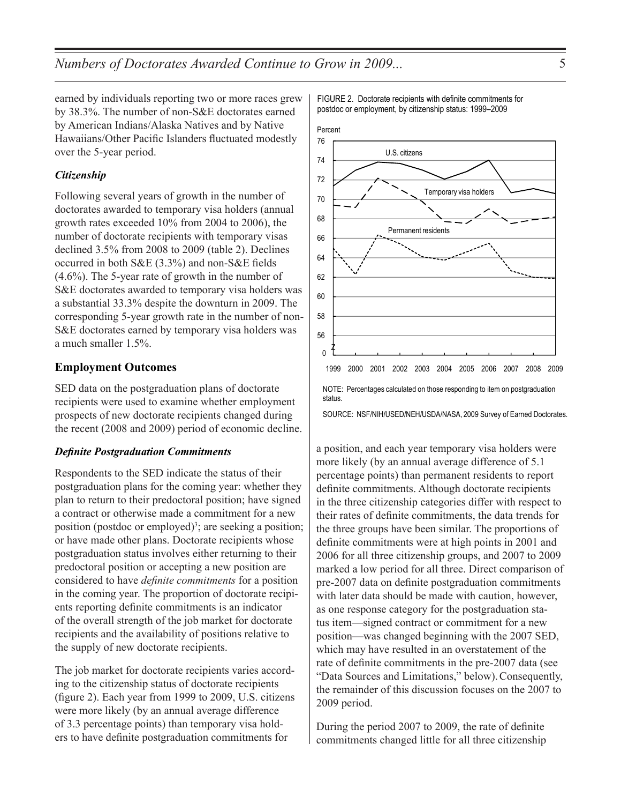earned by individuals reporting two or more races grew by 38.3%. The number of non-S&E doctorates earned by American Indians/Alaska Natives and by Native Hawaiians/Other Pacific Islanders fluctuated modestly over the 5-year period.

#### *Citizenship*

Following several years of growth in the number of doctorates awarded to temporary visa holders (annual growth rates exceeded 10% from 2004 to 2006), the number of doctorate recipients with temporary visas declined 3.5% from 2008 to 2009 (table 2). Declines occurred in both S&E (3.3%) and non-S&E fields (4.6%). The 5-year rate of growth in the number of S&E doctorates awarded to temporary visa holders was a substantial 33.3% despite the downturn in 2009. The corresponding 5-year growth rate in the number of non-S&E doctorates earned by temporary visa holders was a much smaller 1.5%.

#### **Employment Outcomes**

SED data on the postgraduation plans of doctorate recipients were used to examine whether employment prospects of new doctorate recipients changed during the recent (2008 and 2009) period of economic decline.

#### *Definite Postgraduation Commitments*

Respondents to the SED indicate the status of their postgraduation plans for the coming year: whether they plan to return to their predoctoral position; have signed a contract or otherwise made a commitment for a new position (postdoc or employed)<sup>3</sup>; are seeking a position; or have made other plans. Doctorate recipients whose postgraduation status involves either returning to their predoctoral position or accepting a new position are considered to have *definite commitments* for a position in the coming year. The proportion of doctorate recipients reporting definite commitments is an indicator of the overall strength of the job market for doctorate recipients and the availability of positions relative to the supply of new doctorate recipients.

The job market for doctorate recipients varies according to the citizenship status of doctorate recipients (figure 2). Each year from 1999 to 2009, U.S. citizens were more likely (by an annual average difference of 3.3 percentage points) than temporary visa holders to have definite postgraduation commitments for

FIGURE 2. Doctorate recipients with definite commitments for postdoc or employment, by citizenship status: 1999–2009

Percent

### $\overline{0}$ 56 58 60 62 64 66 68 70 72 74 76 1999 2000 2001 2002 2003 2004 2005 2006 2007 2008 2009 U.S. citizens NOTE: Percentages calculated on those responding to item on postgraduation Permanent residents Temporary visa holders Z status.

SOURCE: NSF/NIH/USED/NEH/USDA/NASA, 2009 Survey of Earned Doctorates.

a position, and each year temporary visa holders were more likely (by an annual average difference of 5.1 percentage points) than permanent residents to report definite commitments. Although doctorate recipients in the three citizenship categories differ with respect to their rates of definite commitments, the data trends for the three groups have been similar. The proportions of definite commitments were at high points in 2001 and 2006 for all three citizenship groups, and 2007 to 2009 marked a low period for all three. Direct comparison of pre-2007 data on definite postgraduation commitments with later data should be made with caution, however, as one response category for the postgraduation status item—signed contract or commitment for a new position—was changed beginning with the 2007 SED, which may have resulted in an overstatement of the rate of definite commitments in the pre-2007 data (see "Data Sources and Limitations," below).Consequently, the remainder of this discussion focuses on the 2007 to 2009 period.

During the period 2007 to 2009, the rate of definite commitments changed little for all three citizenship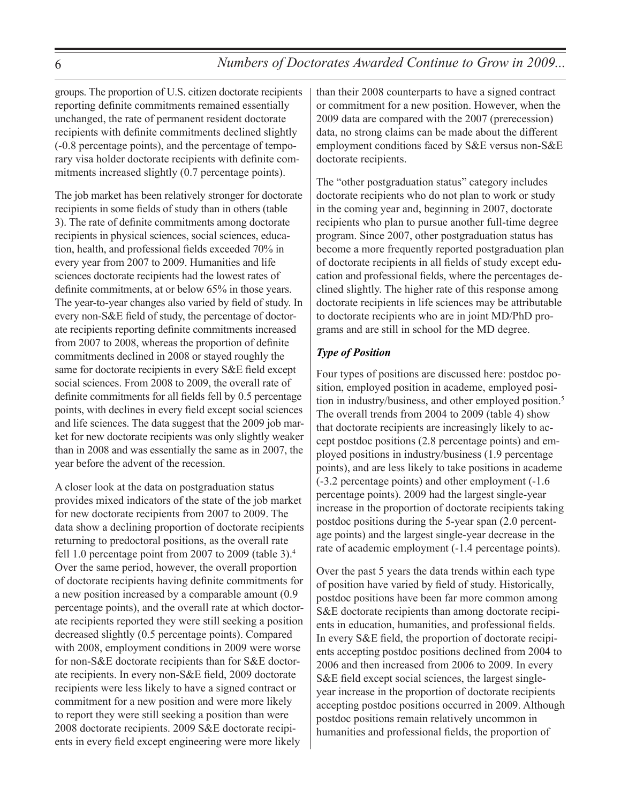groups. The proportion of U.S. citizen doctorate recipients reporting definite commitments remained essentially unchanged, the rate of permanent resident doctorate recipients with definite commitments declined slightly (-0.8 percentage points), and the percentage of temporary visa holder doctorate recipients with definite commitments increased slightly (0.7 percentage points).

The job market has been relatively stronger for doctorate recipients in some fields of study than in others (table 3). The rate of definite commitments among doctorate recipients in physical sciences, social sciences, education, health, and professional fields exceeded 70% in every year from 2007 to 2009. Humanities and life sciences doctorate recipients had the lowest rates of definite commitments, at or below 65% in those years. The year-to-year changes also varied by field of study. In every non-S&E field of study, the percentage of doctorate recipients reporting definite commitments increased from 2007 to 2008, whereas the proportion of definite commitments declined in 2008 or stayed roughly the same for doctorate recipients in every S&E field except social sciences. From 2008 to 2009, the overall rate of definite commitments for all fields fell by 0.5 percentage points, with declines in every field except social sciences and life sciences. The data suggest that the 2009 job market for new doctorate recipients was only slightly weaker than in 2008 and was essentially the same as in 2007, the year before the advent of the recession.

A closer look at the data on postgraduation status provides mixed indicators of the state of the job market for new doctorate recipients from 2007 to 2009. The data show a declining proportion of doctorate recipients returning to predoctoral positions, as the overall rate fell 1.0 percentage point from 2007 to 2009 (table 3).4 Over the same period, however, the overall proportion of doctorate recipients having definite commitments for a new position increased by a comparable amount (0.9 percentage points), and the overall rate at which doctorate recipients reported they were still seeking a position decreased slightly (0.5 percentage points). Compared with 2008, employment conditions in 2009 were worse for non-S&E doctorate recipients than for S&E doctorate recipients. In every non-S&E field, 2009 doctorate recipients were less likely to have a signed contract or commitment for a new position and were more likely to report they were still seeking a position than were 2008 doctorate recipients. 2009 S&E doctorate recipients in every field except engineering were more likely

than their 2008 counterparts to have a signed contract or commitment for a new position. However, when the 2009 data are compared with the 2007 (prerecession) data, no strong claims can be made about the different employment conditions faced by S&E versus non-S&E doctorate recipients.

The "other postgraduation status" category includes doctorate recipients who do not plan to work or study in the coming year and, beginning in 2007, doctorate recipients who plan to pursue another full-time degree program. Since 2007, other postgraduation status has become a more frequently reported postgraduation plan of doctorate recipients in all fields of study except education and professional fields, where the percentages declined slightly. The higher rate of this response among doctorate recipients in life sciences may be attributable to doctorate recipients who are in joint MD/PhD programs and are still in school for the MD degree.

#### *Type of Position*

Four types of positions are discussed here: postdoc position, employed position in academe, employed position in industry/business, and other employed position.<sup>5</sup> The overall trends from 2004 to 2009 (table 4) show that doctorate recipients are increasingly likely to accept postdoc positions (2.8 percentage points) and employed positions in industry/business (1.9 percentage points), and are less likely to take positions in academe (-3.2 percentage points) and other employment (-1.6 percentage points). 2009 had the largest single-year increase in the proportion of doctorate recipients taking postdoc positions during the 5-year span (2.0 percentage points) and the largest single-year decrease in the rate of academic employment (-1.4 percentage points).

Over the past 5 years the data trends within each type of position have varied by field of study. Historically, postdoc positions have been far more common among S&E doctorate recipients than among doctorate recipients in education, humanities, and professional fields. In every S&E field, the proportion of doctorate recipients accepting postdoc positions declined from 2004 to 2006 and then increased from 2006 to 2009. In every S&E field except social sciences, the largest singleyear increase in the proportion of doctorate recipients accepting postdoc positions occurred in 2009. Although postdoc positions remain relatively uncommon in humanities and professional fields, the proportion of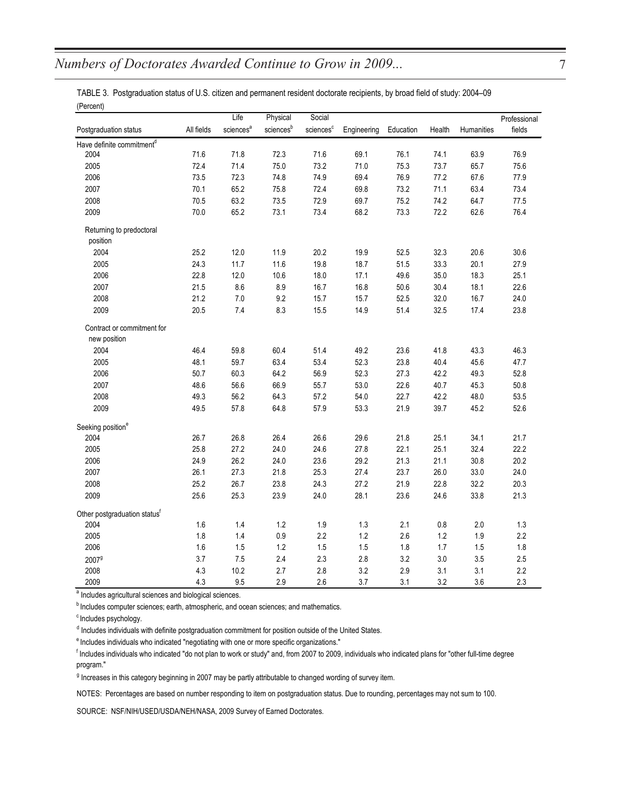|                                            |            | Life                  | Physical              | Social                |             |           |         |            | Professional |
|--------------------------------------------|------------|-----------------------|-----------------------|-----------------------|-------------|-----------|---------|------------|--------------|
| Postgraduation status                      | All fields | sciences <sup>a</sup> | sciences <sup>b</sup> | sciences <sup>c</sup> | Engineering | Education | Health  | Humanities | fields       |
| Have definite commitment <sup>d</sup>      |            |                       |                       |                       |             |           |         |            |              |
| 2004                                       | 71.6       | 71.8                  | 72.3                  | 71.6                  | 69.1        | 76.1      | 74.1    | 63.9       | 76.9         |
| 2005                                       | 72.4       | 71.4                  | 75.0                  | 73.2                  | 71.0        | 75.3      | 73.7    | 65.7       | 75.6         |
| 2006                                       | 73.5       | 72.3                  | 74.8                  | 74.9                  | 69.4        | 76.9      | 77.2    | 67.6       | 77.9         |
| 2007                                       | 70.1       | 65.2                  | 75.8                  | 72.4                  | 69.8        | 73.2      | 71.1    | 63.4       | 73.4         |
| 2008                                       | 70.5       | 63.2                  | 73.5                  | 72.9                  | 69.7        | 75.2      | 74.2    | 64.7       | 77.5         |
| 2009                                       | 70.0       | 65.2                  | 73.1                  | 73.4                  | 68.2        | 73.3      | 72.2    | 62.6       | 76.4         |
| Returning to predoctoral<br>position       |            |                       |                       |                       |             |           |         |            |              |
| 2004                                       | 25.2       | 12.0                  | 11.9                  | 20.2                  | 19.9        | 52.5      | 32.3    | 20.6       | 30.6         |
| 2005                                       | 24.3       | 11.7                  | 11.6                  | 19.8                  | 18.7        | 51.5      | 33.3    | 20.1       | 27.9         |
| 2006                                       | 22.8       | 12.0                  | 10.6                  | 18.0                  | 17.1        | 49.6      | 35.0    | 18.3       | 25.1         |
| 2007                                       | 21.5       | 8.6                   | 8.9                   | 16.7                  | 16.8        | 50.6      | 30.4    | 18.1       | 22.6         |
| 2008                                       | 21.2       | 7.0                   | 9.2                   | 15.7                  | 15.7        | 52.5      | 32.0    | 16.7       | 24.0         |
| 2009                                       | 20.5       | 7.4                   | 8.3                   | 15.5                  | 14.9        | 51.4      | 32.5    | 17.4       | 23.8         |
| Contract or commitment for<br>new position |            |                       |                       |                       |             |           |         |            |              |
| 2004                                       | 46.4       | 59.8                  | 60.4                  | 51.4                  | 49.2        | 23.6      | 41.8    | 43.3       | 46.3         |
| 2005                                       | 48.1       | 59.7                  | 63.4                  | 53.4                  | 52.3        | 23.8      | 40.4    | 45.6       | 47.7         |
| 2006                                       | 50.7       | 60.3                  | 64.2                  | 56.9                  | 52.3        | 27.3      | 42.2    | 49.3       | 52.8         |
| 2007                                       | 48.6       | 56.6                  | 66.9                  | 55.7                  | 53.0        | 22.6      | 40.7    | 45.3       | 50.8         |
| 2008                                       | 49.3       | 56.2                  | 64.3                  | 57.2                  | 54.0        | 22.7      | 42.2    | 48.0       | 53.5         |
| 2009                                       | 49.5       | 57.8                  | 64.8                  | 57.9                  | 53.3        | 21.9      | 39.7    | 45.2       | 52.6         |
| Seeking position <sup>e</sup>              |            |                       |                       |                       |             |           |         |            |              |
| 2004                                       | 26.7       | 26.8                  | 26.4                  | 26.6                  | 29.6        | 21.8      | 25.1    | 34.1       | 21.7         |
| 2005                                       | 25.8       | 27.2                  | 24.0                  | 24.6                  | 27.8        | 22.1      | 25.1    | 32.4       | 22.2         |
| 2006                                       | 24.9       | 26.2                  | 24.0                  | 23.6                  | 29.2        | 21.3      | 21.1    | 30.8       | 20.2         |
| 2007                                       | 26.1       | 27.3                  | 21.8                  | 25.3                  | 27.4        | 23.7      | 26.0    | 33.0       | $24.0\,$     |
| 2008                                       | 25.2       | 26.7                  | 23.8                  | 24.3                  | 27.2        | 21.9      | 22.8    | 32.2       | 20.3         |
| 2009                                       | 25.6       | 25.3                  | 23.9                  | 24.0                  | 28.1        | 23.6      | 24.6    | 33.8       | 21.3         |
| Other postgraduation status <sup>f</sup>   |            |                       |                       |                       |             |           |         |            |              |
| 2004                                       | 1.6        | 1.4                   | 1.2                   | 1.9                   | 1.3         | 2.1       | $0.8\,$ | 2.0        | 1.3          |
| 2005                                       | 1.8        | 1.4                   | 0.9                   | 2.2                   | 1.2         | 2.6       | 1.2     | 1.9        | 2.2          |
| 2006                                       | 1.6        | 1.5                   | 1.2                   | 1.5                   | 1.5         | 1.8       | 1.7     | 1.5        | 1.8          |
| 2007 <sup>9</sup>                          | 3.7        | 7.5                   | 2.4                   | 2.3                   | 2.8         | 3.2       | 3.0     | 3.5        | 2.5          |
| 2008                                       | 4.3        | 10.2                  | 2.7                   | 2.8                   | 3.2         | 2.9       | 3.1     | 3.1        | 2.2          |
| 2009                                       | 4.3        | 9.5                   | 2.9                   | 2.6                   | 3.7         | 3.1       | 3.2     | 3.6        | 2.3          |

(Percent) TABLE 3. Postgraduation status of U.S. citizen and permanent resident doctorate recipients, by broad field of study: 2004–09

<sup>a</sup> Includes agricultural sciences and biological sciences.

**b** Includes computer sciences; earth, atmospheric, and ocean sciences; and mathematics.

<sup>c</sup> Includes psychology.

<sup>d</sup> Includes individuals with definite postgraduation commitment for position outside of the United States.

<sup>e</sup> Includes individuals who indicated "negotiating with one or more specific organizations."

f Includes individuals who indicated "do not plan to work or study" and, from 2007 to 2009, individuals who indicated plans for "other full-time degree program."

<sup>g</sup> Increases in this category beginning in 2007 may be partly attributable to changed wording of survey item.

NOTES: Percentages are based on number responding to item on postgraduation status. Due to rounding, percentages may not sum to 100.

SOURCE: NSF/NIH/USED/USDA/NEH/NASA, 2009 Survey of Earned Doctorates.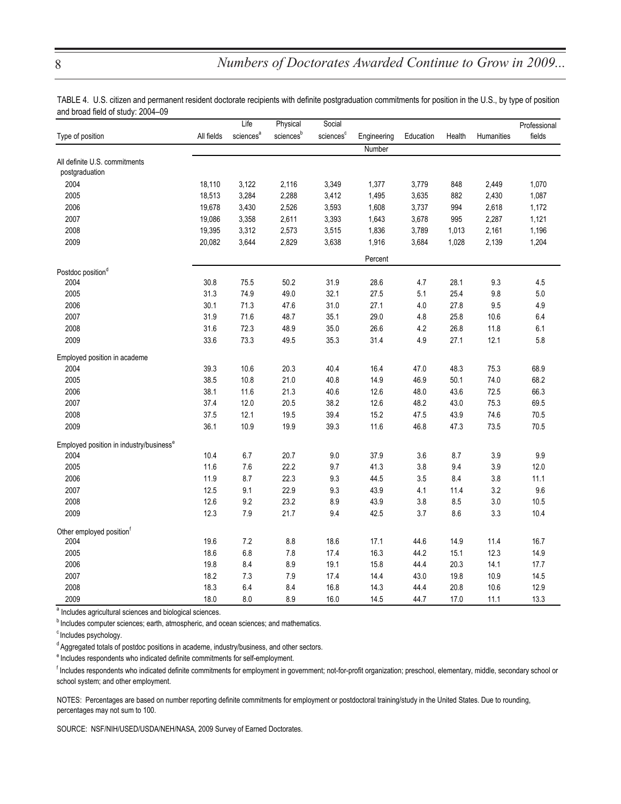| TABLE 4. U.S. citizen and permanent resident doctorate recipients with definite postgraduation commitments for position in the U.S., by type of position |  |
|----------------------------------------------------------------------------------------------------------------------------------------------------------|--|
| and broad field of study: 2004-09                                                                                                                        |  |

|                                                     |            | Life                  | Physical              | Social                |             |           |        |            | Professional |
|-----------------------------------------------------|------------|-----------------------|-----------------------|-----------------------|-------------|-----------|--------|------------|--------------|
| Type of position                                    | All fields | sciences <sup>a</sup> | sciences <sup>b</sup> | sciences <sup>c</sup> | Engineering | Education | Health | Humanities | fields       |
|                                                     |            |                       |                       |                       | Number      |           |        |            |              |
| All definite U.S. commitments                       |            |                       |                       |                       |             |           |        |            |              |
| postgraduation                                      |            |                       |                       |                       |             |           |        |            |              |
| 2004                                                | 18,110     | 3,122                 | 2,116                 | 3,349                 | 1,377       | 3,779     | 848    | 2,449      | 1,070        |
| 2005                                                | 18,513     | 3,284                 | 2,288                 | 3,412                 | 1,495       | 3,635     | 882    | 2,430      | 1,087        |
| 2006                                                | 19,678     | 3,430                 | 2,526                 | 3,593                 | 1,608       | 3,737     | 994    | 2,618      | 1,172        |
| 2007                                                | 19,086     | 3,358                 | 2,611                 | 3,393                 | 1,643       | 3,678     | 995    | 2,287      | 1,121        |
| 2008                                                | 19,395     | 3,312                 | 2,573                 | 3,515                 | 1,836       | 3,789     | 1,013  | 2,161      | 1,196        |
| 2009                                                | 20,082     | 3,644                 | 2,829                 | 3,638                 | 1,916       | 3,684     | 1,028  | 2,139      | 1,204        |
|                                                     |            |                       |                       |                       | Percent     |           |        |            |              |
| Postdoc position <sup>d</sup>                       |            |                       |                       |                       |             |           |        |            |              |
| 2004                                                | 30.8       | 75.5                  | 50.2                  | 31.9                  | 28.6        | 4.7       | 28.1   | 9.3        | 4.5          |
| 2005                                                | 31.3       | 74.9                  | 49.0                  | 32.1                  | 27.5        | 5.1       | 25.4   | 9.8        | 5.0          |
| 2006                                                | 30.1       | 71.3                  | 47.6                  | 31.0                  | 27.1        | 4.0       | 27.8   | 9.5        | 4.9          |
| 2007                                                | 31.9       | 71.6                  | 48.7                  | 35.1                  | 29.0        | 4.8       | 25.8   | 10.6       | 6.4          |
| 2008                                                | 31.6       | 72.3                  | 48.9                  | 35.0                  | 26.6        | 4.2       | 26.8   | 11.8       | 6.1          |
| 2009                                                | 33.6       | 73.3                  | 49.5                  | 35.3                  | 31.4        | 4.9       | 27.1   | 12.1       | 5.8          |
| Employed position in academe                        |            |                       |                       |                       |             |           |        |            |              |
| 2004                                                | 39.3       | 10.6                  | 20.3                  | 40.4                  | 16.4        | 47.0      | 48.3   | 75.3       | 68.9         |
| 2005                                                | 38.5       | 10.8                  | 21.0                  | 40.8                  | 14.9        | 46.9      | 50.1   | 74.0       | 68.2         |
| 2006                                                | 38.1       | 11.6                  | 21.3                  | 40.6                  | 12.6        | 48.0      | 43.6   | 72.5       | 66.3         |
| 2007                                                | 37.4       | 12.0                  | 20.5                  | 38.2                  | 12.6        | 48.2      | 43.0   | 75.3       | 69.5         |
| 2008                                                | 37.5       | 12.1                  | 19.5                  | 39.4                  | 15.2        | 47.5      | 43.9   | 74.6       | 70.5         |
| 2009                                                | 36.1       | 10.9                  | 19.9                  | 39.3                  | 11.6        | 46.8      | 47.3   | 73.5       | 70.5         |
| Employed position in industry/business <sup>e</sup> |            |                       |                       |                       |             |           |        |            |              |
| 2004                                                | 10.4       | 6.7                   | 20.7                  | 9.0                   | 37.9        | 3.6       | 8.7    | 3.9        | 9.9          |
| 2005                                                | 11.6       | 7.6                   | 22.2                  | 9.7                   | 41.3        | 3.8       | 9.4    | 3.9        | 12.0         |
| 2006                                                | 11.9       | 8.7                   | 22.3                  | 9.3                   | 44.5        | 3.5       | 8.4    | 3.8        | 11.1         |
| 2007                                                | 12.5       | 9.1                   | 22.9                  | 9.3                   | 43.9        | 4.1       | 11.4   | 3.2        | 9.6          |
| 2008                                                | 12.6       | 9.2                   | 23.2                  | 8.9                   | 43.9        | 3.8       | 8.5    | 3.0        | 10.5         |
| 2009                                                | 12.3       | 7.9                   | 21.7                  | 9.4                   | 42.5        | 3.7       | 8.6    | 3.3        | 10.4         |
|                                                     |            |                       |                       |                       |             |           |        |            |              |
| Other employed position <sup>1</sup><br>2004        | 19.6       | 7.2                   | 8.8                   | 18.6                  | 17.1        | 44.6      | 14.9   | 11.4       | 16.7         |
| 2005                                                | 18.6       | 6.8                   | 7.8                   | 17.4                  | 16.3        | 44.2      | 15.1   | 12.3       | 14.9         |
| 2006                                                | 19.8       | 8.4                   | 8.9                   | 19.1                  | 15.8        | 44.4      | 20.3   | 14.1       | 17.7         |
| 2007                                                | 18.2       | 7.3                   | 7.9                   | 17.4                  | 14.4        | 43.0      | 19.8   | 10.9       | 14.5         |
| 2008                                                | 18.3       | 6.4                   | 8.4                   | 16.8                  | 14.3        | 44.4      | 20.8   | 10.6       | 12.9         |
|                                                     | 18.0       |                       | 8.9                   |                       |             |           |        |            |              |
| 2009                                                |            | 8.0                   |                       | 16.0                  | 14.5        | 44.7      | 17.0   | 11.1       | 13.3         |

a Includes agricultural sciences and biological sciences.

**h** Includes computer sciences; earth, atmospheric, and ocean sciences; and mathematics.

c Includes psychology.

<sup>d</sup> Aggregated totals of postdoc positions in academe, industry/business, and other sectors.

<sup>e</sup> Includes respondents who indicated definite commitments for self-employment.

<sup>f</sup> Includes respondents who indicated definite commitments for employment in government; not-for-profit organization; preschool, elementary, middle, secondary school or school system; and other employment.

NOTES: Percentages are based on number reporting definite commitments for employment or postdoctoral training/study in the United States. Due to rounding, percentages may not sum to 100.

SOURCE: NSF/NIH/USED/USDA/NEH/NASA, 2009 Survey of Earned Doctorates.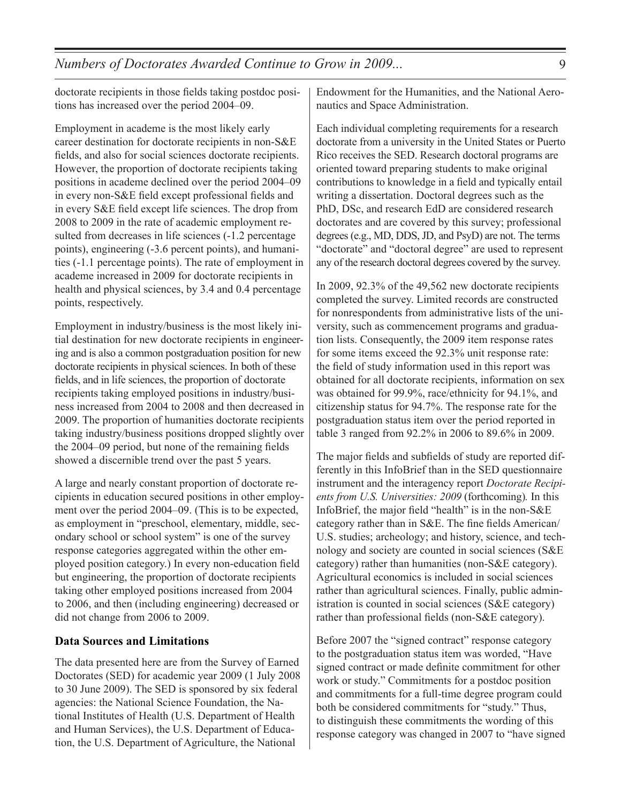doctorate recipients in those fields taking postdoc positions has increased over the period 2004–09.

Employment in academe is the most likely early career destination for doctorate recipients in non-S&E fields, and also for social sciences doctorate recipients. However, the proportion of doctorate recipients taking positions in academe declined over the period 2004–09 in every non-S&E field except professional fields and in every S&E field except life sciences. The drop from 2008 to 2009 in the rate of academic employment resulted from decreases in life sciences (-1.2 percentage points), engineering (-3.6 percent points), and humanities (-1.1 percentage points). The rate of employment in academe increased in 2009 for doctorate recipients in health and physical sciences, by 3.4 and 0.4 percentage points, respectively.

Employment in industry/business is the most likely initial destination for new doctorate recipients in engineering and is also a common postgraduation position for new doctorate recipients in physical sciences. In both of these fields, and in life sciences, the proportion of doctorate recipients taking employed positions in industry/business increased from 2004 to 2008 and then decreased in 2009. The proportion of humanities doctorate recipients taking industry/business positions dropped slightly over the 2004–09 period, but none of the remaining fields showed a discernible trend over the past 5 years.

A large and nearly constant proportion of doctorate recipients in education secured positions in other employment over the period 2004–09. (This is to be expected, as employment in "preschool, elementary, middle, secondary school or school system" is one of the survey response categories aggregated within the other employed position category.) In every non-education field but engineering, the proportion of doctorate recipients taking other employed positions increased from 2004 to 2006, and then (including engineering) decreased or did not change from 2006 to 2009.

#### **Data Sources and Limitations**

The data presented here are from the Survey of Earned Doctorates (SED) for academic year 2009 (1 July 2008 to 30 June 2009). The SED is sponsored by six federal agencies: the National Science Foundation, the National Institutes of Health (U.S. Department of Health and Human Services), the U.S. Department of Education, the U.S. Department of Agriculture, the National

Endowment for the Humanities, and the National Aeronautics and Space Administration.

Each individual completing requirements for a research doctorate from a university in the United States or Puerto Rico receives the SED. Research doctoral programs are oriented toward preparing students to make original contributions to knowledge in a field and typically entail writing a dissertation. Doctoral degrees such as the PhD, DSc, and research EdD are considered research doctorates and are covered by this survey; professional degrees (e.g., MD, DDS, JD, and PsyD) are not. The terms "doctorate" and "doctoral degree" are used to represent any of the research doctoral degrees covered by the survey.

In 2009, 92.3% of the 49,562 new doctorate recipients completed the survey. Limited records are constructed for nonrespondents from administrative lists of the university, such as commencement programs and graduation lists. Consequently, the 2009 item response rates for some items exceed the 92.3% unit response rate: the field of study information used in this report was obtained for all doctorate recipients, information on sex was obtained for 99.9%, race/ethnicity for 94.1%, and citizenship status for 94.7%. The response rate for the postgraduation status item over the period reported in table 3 ranged from 92.2% in 2006 to 89.6% in 2009.

The major fields and subfields of study are reported differently in this InfoBrief than in the SED questionnaire instrument and the interagency report *Doctorate Recipients from U.S. Universities: 2009* (forthcoming)*.* In this InfoBrief, the major field "health" is in the non-S&E category rather than in S&E. The fine fields American/ U.S. studies; archeology; and history, science, and technology and society are counted in social sciences (S&E category) rather than humanities (non-S&E category). Agricultural economics is included in social sciences rather than agricultural sciences. Finally, public administration is counted in social sciences (S&E category) rather than professional fields (non-S&E category).

Before 2007 the "signed contract" response category to the postgraduation status item was worded, "Have signed contract or made definite commitment for other work or study." Commitments for a postdoc position and commitments for a full-time degree program could both be considered commitments for "study." Thus, to distinguish these commitments the wording of this response category was changed in 2007 to "have signed